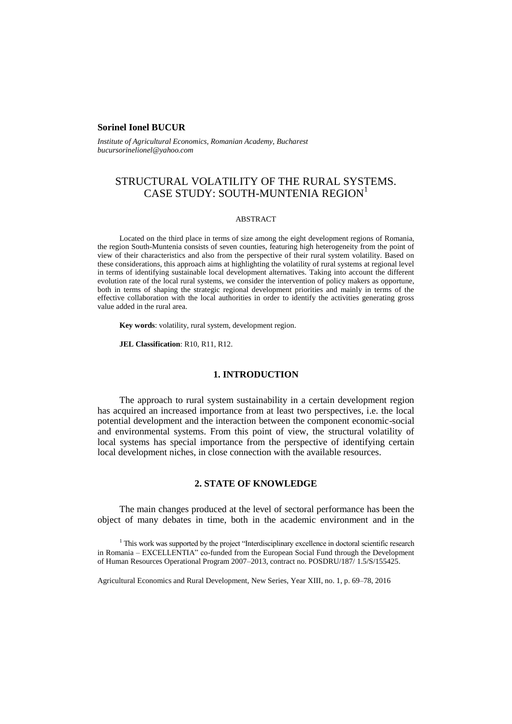## **Sorinel Ionel BUCUR**

*Institute of Agricultural Economics, Romanian Academy, Bucharest bucursorinelionel@yahoo.com*

# STRUCTURAL VOLATILITY OF THE RURAL SYSTEMS. CASE STUDY: SOUTH-MUNTENIA REGION $^1$

#### ABSTRACT

Located on the third place in terms of size among the eight development regions of Romania, the region South-Muntenia consists of seven counties, featuring high heterogeneity from the point of view of their characteristics and also from the perspective of their rural system volatility. Based on these considerations, this approach aims at highlighting the volatility of rural systems at regional level in terms of identifying sustainable local development alternatives. Taking into account the different evolution rate of the local rural systems, we consider the intervention of policy makers as opportune, both in terms of shaping the strategic regional development priorities and mainly in terms of the effective collaboration with the local authorities in order to identify the activities generating gross value added in the rural area.

**Key words**: volatility, rural system, development region.

**JEL Classification**: R10, R11, R12.

### **1. INTRODUCTION**

The approach to rural system sustainability in a certain development region has acquired an increased importance from at least two perspectives, i.e. the local potential development and the interaction between the component economic-social and environmental systems. From this point of view, the structural volatility of local systems has special importance from the perspective of identifying certain local development niches, in close connection with the available resources.

## **2. STATE OF KNOWLEDGE**

The main changes produced at the level of sectoral performance has been the object of many debates in time, both in the academic environment and in the

<sup>1</sup> This work was supported by the project "Interdisciplinary excellence in doctoral scientific research in Romania – EXCELLENTIA" co-funded from the European Social Fund through the Development of Human Resources Operational Program 2007–2013, contract no. POSDRU/187/ 1.5/S/155425.

Agricultural Economics and Rural Development, New Series, Year XIII, no. 1, p. 69–78, 2016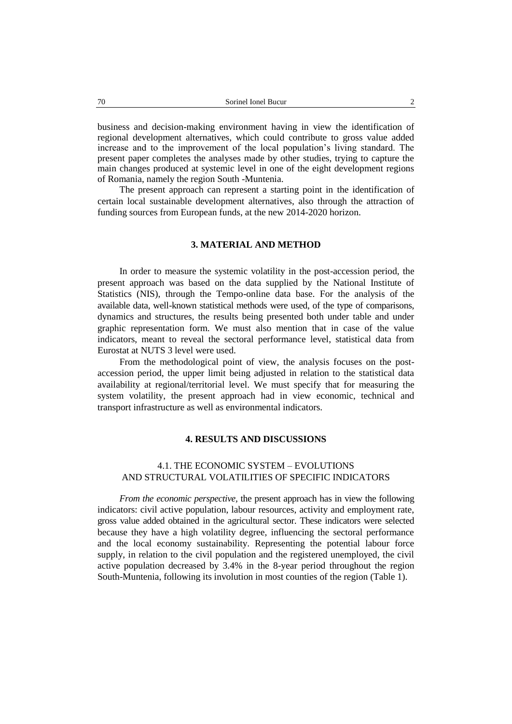business and decision-making environment having in view the identification of regional development alternatives, which could contribute to gross value added increase and to the improvement of the local population's living standard. The present paper completes the analyses made by other studies, trying to capture the main changes produced at systemic level in one of the eight development regions of Romania, namely the region South -Muntenia.

The present approach can represent a starting point in the identification of certain local sustainable development alternatives, also through the attraction of funding sources from European funds, at the new 2014-2020 horizon.

## **3. MATERIAL AND METHOD**

In order to measure the systemic volatility in the post-accession period, the present approach was based on the data supplied by the National Institute of Statistics (NIS), through the Tempo-online data base. For the analysis of the available data, well-known statistical methods were used, of the type of comparisons, dynamics and structures, the results being presented both under table and under graphic representation form. We must also mention that in case of the value indicators, meant to reveal the sectoral performance level, statistical data from Eurostat at NUTS 3 level were used.

From the methodological point of view, the analysis focuses on the postaccession period, the upper limit being adjusted in relation to the statistical data availability at regional/territorial level. We must specify that for measuring the system volatility, the present approach had in view economic, technical and transport infrastructure as well as environmental indicators.

### **4. RESULTS AND DISCUSSIONS**

## 4.1. THE ECONOMIC SYSTEM – EVOLUTIONS AND STRUCTURAL VOLATILITIES OF SPECIFIC INDICATORS

*From the economic perspective,* the present approach has in view the following indicators: civil active population, labour resources, activity and employment rate, gross value added obtained in the agricultural sector. These indicators were selected because they have a high volatility degree, influencing the sectoral performance and the local economy sustainability. Representing the potential labour force supply, in relation to the civil population and the registered unemployed, the civil active population decreased by 3.4% in the 8-year period throughout the region South-Muntenia, following its involution in most counties of the region (Table 1).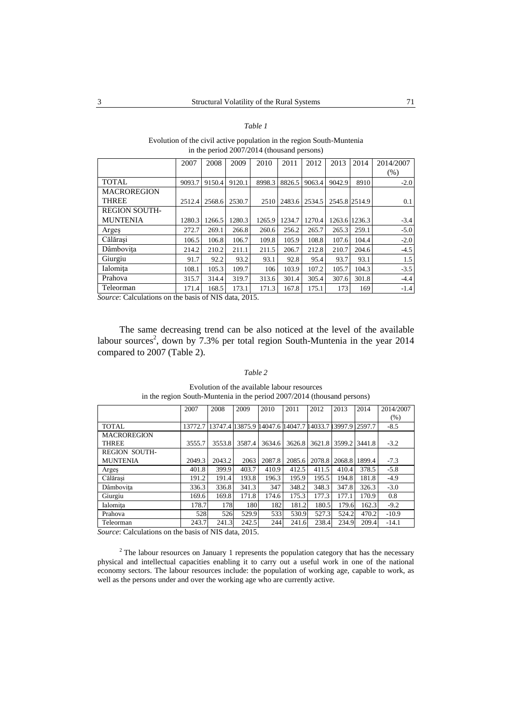### *Table 1*

### Evolution of the civil active population in the region South-Muntenia in the period 2007/2014 (thousand persons)

|                      | 2007   | 2008   | 2009   | 2010   | 2011   | 2012   | 2013          | 2014   | 2014/2007 |
|----------------------|--------|--------|--------|--------|--------|--------|---------------|--------|-----------|
|                      |        |        |        |        |        |        |               |        | (% )      |
| <b>TOTAL</b>         | 9093.7 | 9150.4 | 9120.1 | 8998.3 | 8826.5 | 9063.4 | 9042.9        | 8910   | $-2.0$    |
| <b>MACROREGION</b>   |        |        |        |        |        |        |               |        |           |
| <b>THREE</b>         | 2512.4 | 2568.6 | 2530.7 | 2510   | 2483.6 | 2534.5 | 2545.8 2514.9 |        | 0.1       |
| <b>REGION SOUTH-</b> |        |        |        |        |        |        |               |        |           |
| <b>MUNTENIA</b>      | 1280.3 | 1266.5 | 1280.3 | 1265.9 | 1234.7 | 1270.4 | 1263.6        | 1236.3 | $-3.4$    |
| Argeş                | 272.7  | 269.1  | 266.8  | 260.6  | 256.2  | 265.7  | 265.3         | 259.1  | $-5.0$    |
| Călărasi             | 106.5  | 106.8  | 106.7  | 109.8  | 105.9  | 108.8  | 107.6         | 104.4  | $-2.0$    |
| Dâmbovița            | 214.2  | 210.2  | 211.1  | 211.5  | 206.7  | 212.8  | 210.7         | 204.6  | $-4.5$    |
| Giurgiu              | 91.7   | 92.2   | 93.2   | 93.1   | 92.8   | 95.4   | 93.7          | 93.1   | 1.5       |
| Ialomita             | 108.1  | 105.3  | 109.7  | 106    | 103.9  | 107.2  | 105.7         | 104.3  | $-3.5$    |
| Prahova              | 315.7  | 314.4  | 319.7  | 313.6  | 301.4  | 305.4  | 307.6         | 301.8  | $-4.4$    |
| Teleorman            | 171.4  | 168.5  | 173.1  | 171.3  | 167.8  | 175.1  | 173           | 169    | $-1.4$    |

*Source*: Calculations on the basis of NIS data, 2015.

The same decreasing trend can be also noticed at the level of the available labour sources<sup>2</sup>, down by 7.3% per total region South-Muntenia in the year 2014 compared to 2007 (Table 2).

### *Table 2*

|                      | 2007    | 2008   | 2009   | 2010                                            | 2011   | 2012   | 2013   | 2014   | 2014/2007 |
|----------------------|---------|--------|--------|-------------------------------------------------|--------|--------|--------|--------|-----------|
|                      |         |        |        |                                                 |        |        |        |        |           |
|                      |         |        |        |                                                 |        |        |        |        | (% )      |
| <b>TOTAL</b>         | 13772.7 |        |        | 13747.4 13875.9 14047.6 14047.7 14033.7 13997.9 |        |        |        | 2597.7 | $-8.5$    |
| <b>MACROREGION</b>   |         |        |        |                                                 |        |        |        |        |           |
| <b>THREE</b>         | 3555.7  | 3553.8 | 3587.4 | 3634.6                                          | 3626.8 | 3621.8 | 3599.2 | 3441.8 | $-3.2$    |
| <b>REGION SOUTH-</b> |         |        |        |                                                 |        |        |        |        |           |
| <b>MUNTENIA</b>      | 2049.3  | 2043.2 | 2063   | 2087.8                                          | 2085.6 | 2078.8 | 2068.8 | 1899.4 | $-7.3$    |
| Arges                | 401.8   | 399.9  | 403.7  | 410.9                                           | 412.5  | 411.5  | 410.4  | 378.5  | $-5.8$    |
| Călărasi             | 191.2   | 191.4  | 193.8  | 196.3                                           | 195.9  | 195.5  | 194.8  | 181.8  | $-4.9$    |
| Dâmbovita            | 336.3   | 336.8  | 341.3  | 347                                             | 348.2  | 348.3  | 347.8  | 326.3  | $-3.0$    |
| Giurgiu              | 169.6   | 169.8  | 171.8  | 174.6                                           | 175.3  | 177.3  | 177.1  | 170.9  | 0.8       |
| Ialomita             | 178.7   | 178    | 180    | 182                                             | 181.2  | 180.5  | 179.6  | 162.3  | $-9.2$    |
| Prahova              | 528     | 526    | 529.9  | 533                                             | 530.9  | 527.3  | 524.2  | 470.2  | $-10.9$   |
| Teleorman            | 243.7   | 241.3  | 242.5  | 244                                             | 241.6  | 238.4  | 234.9  | 209.4  | $-14.1$   |

Evolution of the available labour resources in the region South-Muntenia in the period 2007/2014 (thousand persons)

*Source*: Calculations on the basis of NIS data, 2015.

<sup>2</sup> The labour resources on January 1 represents the population category that has the necessary physical and intellectual capacities enabling it to carry out a useful work in one of the national economy sectors. The labour resources include: the population of working age, capable to work, as well as the persons under and over the working age who are currently active.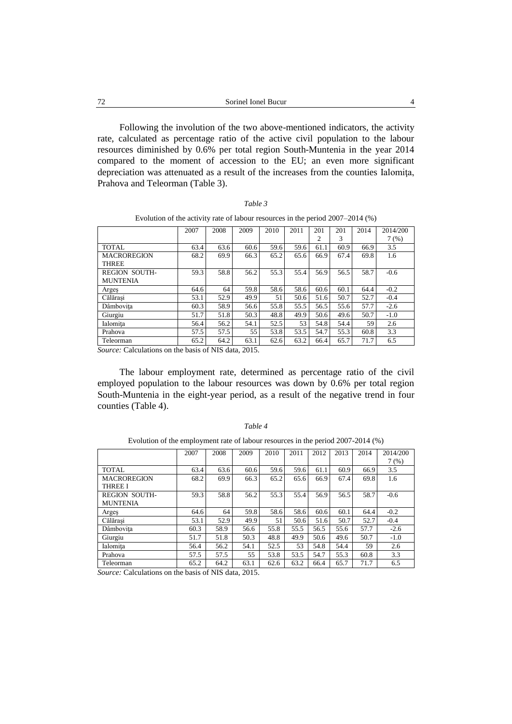Following the involution of the two above-mentioned indicators, the activity rate, calculated as percentage ratio of the active civil population to the labour resources diminished by 0.6% per total region South-Muntenia in the year 2014 compared to the moment of accession to the EU; an even more significant depreciation was attenuated as a result of the increases from the counties Ialomiţa, Prahova and Teleorman (Table 3).

Evolution of the activity rate of labour resources in the period 2007–2014 (%)

|                      | 2007 | 2008 | 2009 | 2010 | 2011 | 201  | 201  | 2014 | 2014/200 |
|----------------------|------|------|------|------|------|------|------|------|----------|
|                      |      |      |      |      |      | 2    | 3    |      | 7(%)     |
| <b>TOTAL</b>         | 63.4 | 63.6 | 60.6 | 59.6 | 59.6 | 61.1 | 60.9 | 66.9 | 3.5      |
| <b>MACROREGION</b>   | 68.2 | 69.9 | 66.3 | 65.2 | 65.6 | 66.9 | 67.4 | 69.8 | 1.6      |
| THREE                |      |      |      |      |      |      |      |      |          |
| <b>REGION SOUTH-</b> | 59.3 | 58.8 | 56.2 | 55.3 | 55.4 | 56.9 | 56.5 | 58.7 | $-0.6$   |
| <b>MUNTENIA</b>      |      |      |      |      |      |      |      |      |          |
| Arges                | 64.6 | 64   | 59.8 | 58.6 | 58.6 | 60.6 | 60.1 | 64.4 | $-0.2$   |
| Călărasi             | 53.1 | 52.9 | 49.9 | 51   | 50.6 | 51.6 | 50.7 | 52.7 | $-0.4$   |
| Dâmbovita            | 60.3 | 58.9 | 56.6 | 55.8 | 55.5 | 56.5 | 55.6 | 57.7 | $-2.6$   |
| Giurgiu              | 51.7 | 51.8 | 50.3 | 48.8 | 49.9 | 50.6 | 49.6 | 50.7 | $-1.0$   |
| Ialomita             | 56.4 | 56.2 | 54.1 | 52.5 | 53   | 54.8 | 54.4 | 59   | 2.6      |
| Prahova              | 57.5 | 57.5 | 55   | 53.8 | 53.5 | 54.7 | 55.3 | 60.8 | 3.3      |
| Teleorman            | 65.2 | 64.2 | 63.1 | 62.6 | 63.2 | 66.4 | 65.7 | 71.7 | 6.5      |

*Source:* Calculations on the basis of NIS data, 2015.

The labour employment rate, determined as percentage ratio of the civil employed population to the labour resources was down by 0.6% per total region South-Muntenia in the eight-year period, as a result of the negative trend in four counties (Table 4).

|                                         | 2007 | 2008 | 2009 | 2010 | 2011 | 2012 | 2013 | 2014 | 2014/200 |
|-----------------------------------------|------|------|------|------|------|------|------|------|----------|
|                                         |      |      |      |      |      |      |      |      | 7(%)     |
| TOTAL.                                  | 63.4 | 63.6 | 60.6 | 59.6 | 59.6 | 61.1 | 60.9 | 66.9 | 3.5      |
| <b>MACROREGION</b><br><b>THREE I</b>    | 68.2 | 69.9 | 66.3 | 65.2 | 65.6 | 66.9 | 67.4 | 69.8 | 1.6      |
| <b>REGION SOUTH-</b><br><b>MUNTENIA</b> | 59.3 | 58.8 | 56.2 | 55.3 | 55.4 | 56.9 | 56.5 | 58.7 | $-0.6$   |
| Argeş                                   | 64.6 | 64   | 59.8 | 58.6 | 58.6 | 60.6 | 60.1 | 64.4 | $-0.2$   |
| Călărasi                                | 53.1 | 52.9 | 49.9 | 51   | 50.6 | 51.6 | 50.7 | 52.7 | $-0.4$   |
| Dâmbovita                               | 60.3 | 58.9 | 56.6 | 55.8 | 55.5 | 56.5 | 55.6 | 57.7 | $-2.6$   |
| Giurgiu                                 | 51.7 | 51.8 | 50.3 | 48.8 | 49.9 | 50.6 | 49.6 | 50.7 | $-1.0$   |
| Ialomita                                | 56.4 | 56.2 | 54.1 | 52.5 | 53   | 54.8 | 54.4 | 59   | 2.6      |
| Prahova                                 | 57.5 | 57.5 | 55   | 53.8 | 53.5 | 54.7 | 55.3 | 60.8 | 3.3      |
| Teleorman                               | 65.2 | 64.2 | 63.1 | 62.6 | 63.2 | 66.4 | 65.7 | 71.7 | 6.5      |

Evolution of the employment rate of labour resources in the period 2007-2014 (%)

*Source:* Calculations on the basis of NIS data, 2015.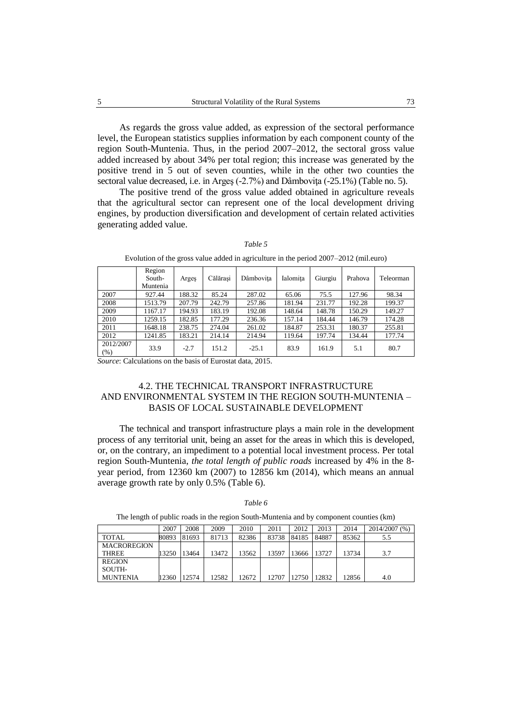As regards the gross value added, as expression of the sectoral performance level, the European statistics supplies information by each component county of the region South-Muntenia. Thus, in the period 2007–2012, the sectoral gross value added increased by about 34% per total region; this increase was generated by the positive trend in 5 out of seven counties, while in the other two counties the sectoral value decreased, i.e. in Arges (-2.7%) and Dâmboviţa (-25.1%) (Table no. 5).

The positive trend of the gross value added obtained in agriculture reveals that the agricultural sector can represent one of the local development driving engines, by production diversification and development of certain related activities generating added value.

|                   | Region<br>South-<br>Muntenia | Arges  | Călărași | Dâmbovita | Ialomita | Giurgiu | Prahova | Teleorman |
|-------------------|------------------------------|--------|----------|-----------|----------|---------|---------|-----------|
| 2007              | 927.44                       | 188.32 | 85.24    | 287.02    | 65.06    | 75.5    | 127.96  | 98.34     |
| 2008              | 1513.79                      | 207.79 | 242.79   | 257.86    | 181.94   | 231.77  | 192.28  | 199.37    |
| 2009              | 1167.17                      | 194.93 | 183.19   | 192.08    | 148.64   | 148.78  | 150.29  | 149.27    |
| 2010              | 1259.15                      | 182.85 | 177.29   | 236.36    | 157.14   | 184.44  | 146.79  | 174.28    |
| 2011              | 1648.18                      | 238.75 | 274.04   | 261.02    | 184.87   | 253.31  | 180.37  | 255.81    |
| 2012              | 1241.85                      | 183.21 | 214.14   | 214.94    | 119.64   | 197.74  | 134.44  | 177.74    |
| 2012/2007<br>(% ) | 33.9                         | $-2.7$ | 151.2    | $-25.1$   | 83.9     | 161.9   | 5.1     | 80.7      |

| ant |  |
|-----|--|
|-----|--|

Evolution of the gross value added in agriculture in the period 2007–2012 (mil.euro)

*Source*: Calculations on the basis of Eurostat data, 2015.

## 4.2. THE TECHNICAL TRANSPORT INFRASTRUCTURE AND ENVIRONMENTAL SYSTEM IN THE REGION SOUTH-MUNTENIA – BASIS OF LOCAL SUSTAINABLE DEVELOPMENT

The technical and transport infrastructure plays a main role in the development process of any territorial unit, being an asset for the areas in which this is developed, or, on the contrary, an impediment to a potential local investment process. Per total region South-Muntenia, *the total length of public roads* increased by 4% in the 8 year period, from 12360 km (2007) to 12856 km (2014), which means an annual average growth rate by only 0.5% (Table 6).

*Table 6* 

The length of public roads in the region South-Muntenia and by component counties (km)

|                    | 2007  | 2008  | 2009  | 2010  | 2011  | 2012  | 2013  | 2014  | 2014/2007 (%) |
|--------------------|-------|-------|-------|-------|-------|-------|-------|-------|---------------|
| <b>TOTAL</b>       | 80893 | 81693 | 81713 | 82386 | 83738 | 84185 | 84887 | 85362 | 5.5           |
| <b>MACROREGION</b> |       |       |       |       |       |       |       |       |               |
| <b>THREE</b>       | 13250 | 13464 | 13472 | 13562 | 13597 | 13666 | 13727 | 13734 | 3.7           |
| <b>REGION</b>      |       |       |       |       |       |       |       |       |               |
| SOUTH-             |       |       |       |       |       |       |       |       |               |
| <b>MUNTENIA</b>    | 12360 | 12574 | 12582 | 12672 | 12707 | 12750 | 12832 | 12856 | 4.0           |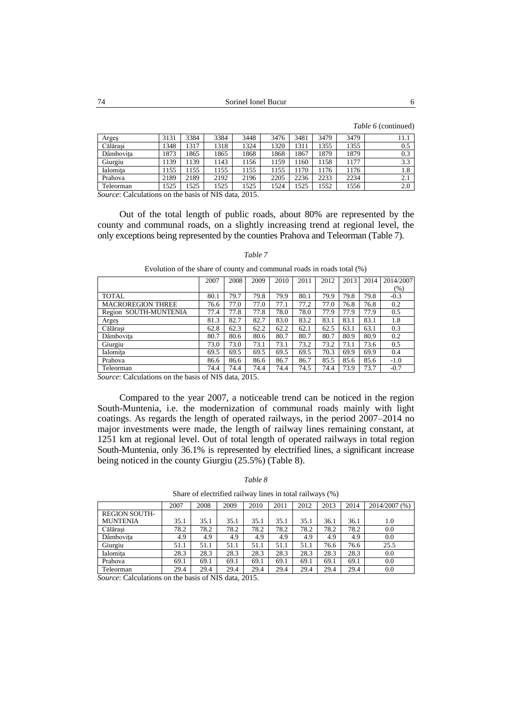*Table 6* (continued)

| Argeș     | 3131 | 3384 | 3384 | 3448 | 3476 | 3481 | 3479 | 3479 | 11.1 |
|-----------|------|------|------|------|------|------|------|------|------|
| Călărasi  | 1348 | 1317 | 1318 | 1324 | 1320 | 131  | 1355 | 1355 | 0.5  |
| Dâmbovita | 1873 | 1865 | 1865 | 1868 | 1868 | 1867 | 1879 | 1879 | 0.3  |
| Giurgiu   | .139 | .139 | 1143 | 1156 | 1159 | 160  | 158  | 1177 | 3.3  |
| Ialomita  | 1155 | 155  | 1155 | 1155 | 1155 | 170  | 176  | 1176 | 1.8  |
| Prahova   | 2189 | 2189 | 2192 | 2196 | 2205 | 2236 | 2233 | 2234 | 2.1  |
| Teleorman | 1525 | .525 | 1525 | 1525 | 1524 | 1525 | 1552 | 1556 | 2.0  |

*Source*: Calculations on the basis of NIS data, 2015.

Out of the total length of public roads, about 80% are represented by the county and communal roads, on a slightly increasing trend at regional level, the only exceptions being represented by the counties Prahova and Teleorman (Table 7).

|                          | 2007 | 2008 | 2009 | 2010 | 2011 | 2012 | 2013 | 2014 | 2014/2007 |
|--------------------------|------|------|------|------|------|------|------|------|-----------|
|                          |      |      |      |      |      |      |      |      | $(\%)$    |
| <b>TOTAL</b>             | 80.1 | 79.7 | 79.8 | 79.9 | 80.1 | 79.9 | 79.8 | 79.8 | $-0.3$    |
| <b>MACROREGION THREE</b> | 76.6 | 77.0 | 77.0 | 77.1 | 77.2 | 77.0 | 76.8 | 76.8 | 0.2       |
| Region SOUTH-MUNTENIA    | 77.4 | 77.8 | 77.8 | 78.0 | 78.0 | 77.9 | 77.9 | 77.9 | 0.5       |
| Arges                    | 81.3 | 82.7 | 82.7 | 83.0 | 83.2 | 83.1 | 83.1 | 83.1 | 1.8       |
| Călărasi                 | 62.8 | 62.3 | 62.2 | 62.2 | 62.1 | 62.5 | 63.1 | 63.1 | 0.3       |
| Dâmbovita                | 80.7 | 80.6 | 80.6 | 80.7 | 80.7 | 80.7 | 80.9 | 80.9 | 0.2       |
| Giurgiu                  | 73.0 | 73.0 | 73.1 | 73.1 | 73.2 | 73.2 | 73.1 | 73.6 | 0.5       |
| Ialomita                 | 69.5 | 69.5 | 69.5 | 69.5 | 69.5 | 70.3 | 69.9 | 69.9 | 0.4       |
| Prahova                  | 86.6 | 86.6 | 86.6 | 86.7 | 86.7 | 85.5 | 85.6 | 85.6 | $-1.0$    |
| Teleorman                | 74.4 | 74.4 | 74.4 | 74.4 | 74.5 | 74.4 | 73.9 | 73.7 | $-0.7$    |

#### *Table 7*

Evolution of the share of county and communal roads in roads total (%)

*Source*: Calculations on the basis of NIS data, 2015.

Compared to the year 2007, a noticeable trend can be noticed in the region South-Muntenia, i.e. the modernization of communal roads mainly with light coatings. As regards the length of operated railways, in the period 2007–2014 no major investments were made, the length of railway lines remaining constant, at 1251 km at regional level. Out of total length of operated railways in total region South-Muntenia, only 36.1% is represented by electrified lines, a significant increase being noticed in the county Giurgiu (25.5%) (Table 8).

#### *Table 8*

Share of electrified railway lines in total railways (%)

|                      | 2007 | 2008 | 2009 | 2010 | 2011 | 2012 | 2013 | 2014 | 2014/2007 (%) |
|----------------------|------|------|------|------|------|------|------|------|---------------|
| <b>REGION SOUTH-</b> |      |      |      |      |      |      |      |      |               |
| <b>MUNTENIA</b>      | 35.1 | 35.1 | 35.1 | 35.1 | 35.1 | 35.1 | 36.1 | 36.1 | 1.0           |
| Călărasi             | 78.2 | 78.2 | 78.2 | 78.2 | 78.2 | 78.2 | 78.2 | 78.2 | 0.0           |
| Dâmbovita            | 4.9  | 4.9  | 4.9  | 4.9  | 4.9  | 4.9  | 4.9  | 4.9  | 0.0           |
| Giurgiu              | 51.1 | 51.1 | 51.1 | 51.1 | 51.1 | 51.1 | 76.6 | 76.6 | 25.5          |
| Ialomita             | 28.3 | 28.3 | 28.3 | 28.3 | 28.3 | 28.3 | 28.3 | 28.3 | 0.0           |
| Prahova              | 69.1 | 69.1 | 69.1 | 69.1 | 69.1 | 69.1 | 69.1 | 69.1 | 0.0           |
| Teleorman            | 29.4 | 29.4 | 29.4 | 29.4 | 29.4 | 29.4 | 29.4 | 29.4 | 0.0           |

*Source*: Calculations on the basis of NIS data, 2015.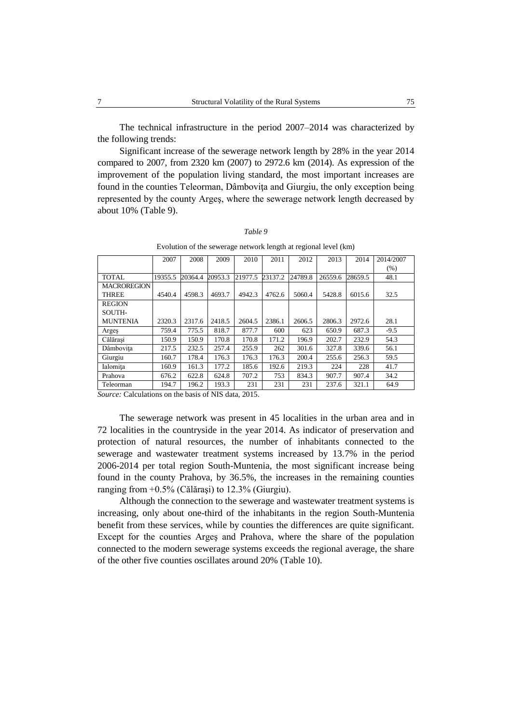The technical infrastructure in the period 2007–2014 was characterized by the following trends:

Significant increase of the sewerage network length by 28% in the year 2014 compared to 2007, from 2320 km (2007) to 2972.6 km (2014). As expression of the improvement of the population living standard, the most important increases are found in the counties Teleorman, Dâmboviţa and Giurgiu, the only exception being represented by the county Argeş, where the sewerage network length decreased by about 10% (Table 9).

| Table |  |
|-------|--|
|-------|--|

Evolution of the sewerage network length at regional level (km)

|                    | 2007    | 2008    | 2009    | 2010    | 2011    | 2012    | 2013    | 2014    | 2014/2007 |
|--------------------|---------|---------|---------|---------|---------|---------|---------|---------|-----------|
|                    |         |         |         |         |         |         |         |         | (% )      |
| <b>TOTAL</b>       | 19355.5 | 20364.4 | 20953.3 | 21977.5 | 23137.2 | 24789.8 | 26559.6 | 28659.5 | 48.1      |
| <b>MACROREGION</b> |         |         |         |         |         |         |         |         |           |
| <b>THREE</b>       | 4540.4  | 4598.3  | 4693.7  | 4942.3  | 4762.6  | 5060.4  | 5428.8  | 6015.6  | 32.5      |
| <b>REGION</b>      |         |         |         |         |         |         |         |         |           |
| SOUTH-             |         |         |         |         |         |         |         |         |           |
| <b>MUNTENIA</b>    | 2320.3  | 2317.6  | 2418.5  | 2604.5  | 2386.1  | 2606.5  | 2806.3  | 2972.6  | 28.1      |
| Arges              | 759.4   | 775.5   | 818.7   | 877.7   | 600     | 623     | 650.9   | 687.3   | $-9.5$    |
| Călărași           | 150.9   | 150.9   | 170.8   | 170.8   | 171.2   | 196.9   | 202.7   | 232.9   | 54.3      |
| Dâmbovita          | 217.5   | 232.5   | 257.4   | 255.9   | 262     | 301.6   | 327.8   | 339.6   | 56.1      |
| Giurgiu            | 160.7   | 178.4   | 176.3   | 176.3   | 176.3   | 200.4   | 255.6   | 256.3   | 59.5      |
| Ialomita           | 160.9   | 161.3   | 177.2   | 185.6   | 192.6   | 219.3   | 224     | 228     | 41.7      |
| Prahova            | 676.2   | 622.8   | 624.8   | 707.2   | 753     | 834.3   | 907.7   | 907.4   | 34.2      |
| Teleorman          | 194.7   | 196.2   | 193.3   | 231     | 231     | 231     | 237.6   | 321.1   | 64.9      |

*Source:* Calculations on the basis of NIS data, 2015.

The sewerage network was present in 45 localities in the urban area and in 72 localities in the countryside in the year 2014. As indicator of preservation and protection of natural resources, the number of inhabitants connected to the sewerage and wastewater treatment systems increased by 13.7% in the period 2006-2014 per total region South-Muntenia, the most significant increase being found in the county Prahova, by 36.5%, the increases in the remaining counties ranging from +0.5% (Călăraşi) to 12.3% (Giurgiu).

Although the connection to the sewerage and wastewater treatment systems is increasing, only about one-third of the inhabitants in the region South-Muntenia benefit from these services, while by counties the differences are quite significant. Except for the counties Argeş and Prahova, where the share of the population connected to the modern sewerage systems exceeds the regional average, the share of the other five counties oscillates around 20% (Table 10).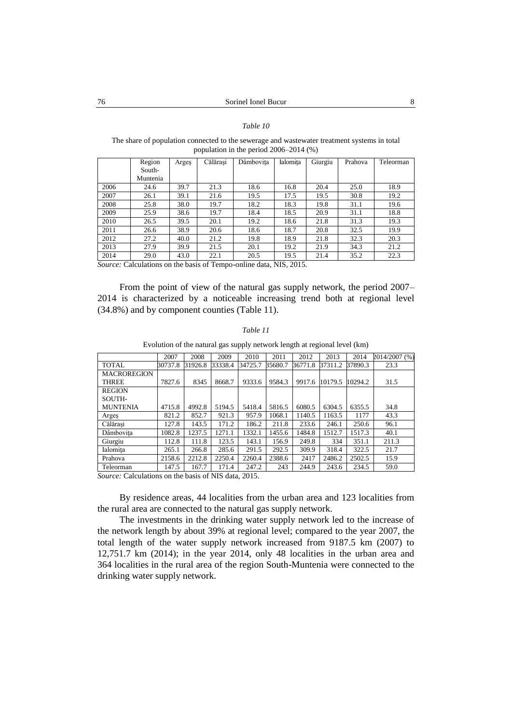### *Table 10*

The share of population connected to the sewerage and wastewater treatment systems in total population in the period 2006–2014 (%)

|      | Region   | Arges | Călărași | Dâmbovita | Ialomita | Giurgiu | Prahova | Teleorman |
|------|----------|-------|----------|-----------|----------|---------|---------|-----------|
|      | South-   |       |          |           |          |         |         |           |
|      | Muntenia |       |          |           |          |         |         |           |
| 2006 | 24.6     | 39.7  | 21.3     | 18.6      | 16.8     | 20.4    | 25.0    | 18.9      |
| 2007 | 26.1     | 39.1  | 21.6     | 19.5      | 17.5     | 19.5    | 30.8    | 19.2      |
| 2008 | 25.8     | 38.0  | 19.7     | 18.2      | 18.3     | 19.8    | 31.1    | 19.6      |
| 2009 | 25.9     | 38.6  | 19.7     | 18.4      | 18.5     | 20.9    | 31.1    | 18.8      |
| 2010 | 26.5     | 39.5  | 20.1     | 19.2      | 18.6     | 21.8    | 31.3    | 19.3      |
| 2011 | 26.6     | 38.9  | 20.6     | 18.6      | 18.7     | 20.8    | 32.5    | 19.9      |
| 2012 | 27.2     | 40.0  | 21.2     | 19.8      | 18.9     | 21.8    | 32.3    | 20.3      |
| 2013 | 27.9     | 39.9  | 21.5     | 20.1      | 19.2     | 21.9    | 34.3    | 21.2      |
| 2014 | 29.0     | 43.0  | 22.1     | 20.5      | 19.5     | 21.4    | 35.2    | 22.3      |

*Source:* Calculations on the basis of Tempo-online data, NIS, 2015.

From the point of view of the natural gas supply network, the period 2007– 2014 is characterized by a noticeable increasing trend both at regional level (34.8%) and by component counties (Table 11).

#### *Table 11*

Evolution of the natural gas supply network length at regional level (km)

|                                                   | 2007    | 2008    | 2009    | 2010    | 2011    | 2012    | 2013    | 2014    | 2014/2007 (%) |  |
|---------------------------------------------------|---------|---------|---------|---------|---------|---------|---------|---------|---------------|--|
| <b>TOTAL</b>                                      | 30737.8 | 31926.8 | 33338.4 | 34725.7 | 35680.7 | 36771.8 | 37311.2 | 37890.3 | 23.3          |  |
| <b>MACROREGION</b>                                |         |         |         |         |         |         |         |         |               |  |
| <b>THREE</b>                                      | 7827.6  | 8345    | 8668.7  | 9333.6  | 9584.3  | 9917.6  | 10179.5 | 10294.2 | 31.5          |  |
| <b>REGION</b>                                     |         |         |         |         |         |         |         |         |               |  |
| SOUTH-                                            |         |         |         |         |         |         |         |         |               |  |
| <b>MUNTENIA</b>                                   | 4715.8  | 4992.8  | 5194.5  | 5418.4  | 5816.5  | 6080.5  | 6304.5  | 6355.5  | 34.8          |  |
| Arges                                             | 821.2   | 852.7   | 921.3   | 957.9   | 1068.1  | 1140.5  | 1163.5  | 1177    | 43.3          |  |
| Călărasi                                          | 127.8   | 143.5   | 171.2   | 186.2   | 211.8   | 233.6   | 246.1   | 250.6   | 96.1          |  |
| Dâmbovita                                         | 1082.8  | 1237.5  | 1271.1  | 1332.1  | 1455.6  | 1484.8  | 1512.7  | 1517.3  | 40.1          |  |
| Giurgiu                                           | 112.8   | 111.8   | 123.5   | 143.1   | 156.9   | 249.8   | 334     | 351.1   | 211.3         |  |
| Ialomita                                          | 265.1   | 266.8   | 285.6   | 291.5   | 292.5   | 309.9   | 318.4   | 322.5   | 21.7          |  |
| Prahova                                           | 2158.6  | 2212.8  | 2250.4  | 2260.4  | 2388.6  | 2417    | 2486.2  | 2502.5  | 15.9          |  |
| Teleorman                                         | 147.5   | 167.7   | 171.4   | 247.2   | 243     | 244.9   | 243.6   | 234.5   | 59.0          |  |
| Course Coloulations on the besis of MIS data 2015 |         |         |         |         |         |         |         |         |               |  |

*Source:* Calculations on the basis of NIS data, 2015.

By residence areas, 44 localities from the urban area and 123 localities from the rural area are connected to the natural gas supply network.

The investments in the drinking water supply network led to the increase of the network length by about 39% at regional level; compared to the year 2007, the total length of the water supply network increased from 9187.5 km (2007) to 12,751.7 km (2014); in the year 2014, only 48 localities in the urban area and 364 localities in the rural area of the region South-Muntenia were connected to the drinking water supply network.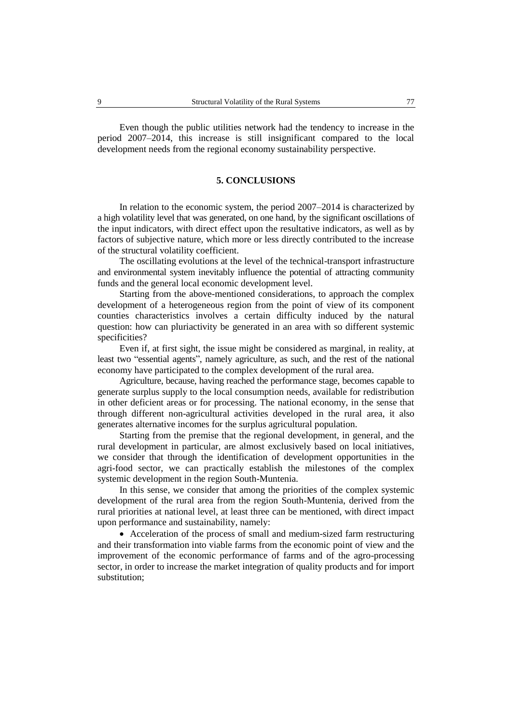Even though the public utilities network had the tendency to increase in the period 2007–2014, this increase is still insignificant compared to the local development needs from the regional economy sustainability perspective.

### **5. CONCLUSIONS**

In relation to the economic system, the period 2007–2014 is characterized by a high volatility level that was generated, on one hand, by the significant oscillations of the input indicators, with direct effect upon the resultative indicators, as well as by factors of subjective nature, which more or less directly contributed to the increase of the structural volatility coefficient.

The oscillating evolutions at the level of the technical-transport infrastructure and environmental system inevitably influence the potential of attracting community funds and the general local economic development level.

Starting from the above-mentioned considerations, to approach the complex development of a heterogeneous region from the point of view of its component counties characteristics involves a certain difficulty induced by the natural question: how can pluriactivity be generated in an area with so different systemic specificities?

Even if, at first sight, the issue might be considered as marginal, in reality, at least two "essential agents", namely agriculture, as such, and the rest of the national economy have participated to the complex development of the rural area.

Agriculture, because, having reached the performance stage, becomes capable to generate surplus supply to the local consumption needs, available for redistribution in other deficient areas or for processing. The national economy, in the sense that through different non-agricultural activities developed in the rural area, it also generates alternative incomes for the surplus agricultural population.

Starting from the premise that the regional development, in general, and the rural development in particular, are almost exclusively based on local initiatives, we consider that through the identification of development opportunities in the agri-food sector, we can practically establish the milestones of the complex systemic development in the region South-Muntenia.

In this sense, we consider that among the priorities of the complex systemic development of the rural area from the region South-Muntenia, derived from the rural priorities at national level, at least three can be mentioned, with direct impact upon performance and sustainability, namely:

 Acceleration of the process of small and medium-sized farm restructuring and their transformation into viable farms from the economic point of view and the improvement of the economic performance of farms and of the agro-processing sector, in order to increase the market integration of quality products and for import substitution;